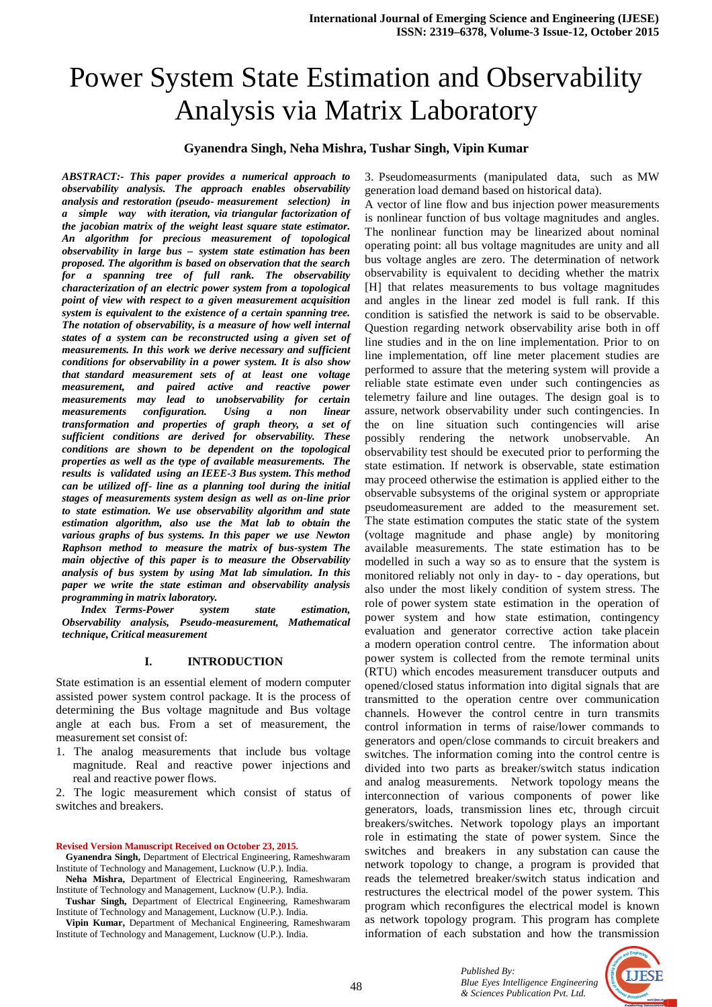# Power System State Estimation and Observability Analysis via Matrix Laboratory

#### **Gyanendra Singh, Neha Mishra, Tushar Singh, Vipin Kumar**

*ABSTRACT:- This paper provides a numerical approach to observability analysis. The approach enables observability analysis and restoration (pseudo- measurement selection) in a simple way with iteration, via triangular factorization of the jacobian matrix of the weight least square state estimator. An algorithm for precious measurement of topological observability in large bus – system state estimation has been proposed. The algorithm is based on observation that the search for a spanning tree of full rank. The observability characterization of an electric power system from a topological point of view with respect to a given measurement acquisition system is equivalent to the existence of a certain spanning tree. The notation of observability, is a measure of how well internal states of a system can be reconstructed using a given set of measurements. In this work we derive necessary and sufficient conditions for observability in a power system. It is also show that standard measurement sets of at least one voltage measurement, and paired active and reactive power measurements may lead to unobservability for certain measurements configuration. Using a non linear transformation and properties of graph theory, a set of sufficient conditions are derived for observability. These conditions are shown to be dependent on the topological properties as well as the type of available measurements. The results is validated using an IEEE-3 Bus system. This method can be utilized off- line as a planning tool during the initial stages of measurements system design as well as on-line prior to state estimation. We use observability algorithm and state estimation algorithm, also use the Mat lab to obtain the various graphs of bus systems. In this paper we use Newton Raphson method to measure the matrix of bus-system The main objective of this paper is to measure the Observability analysis of bus system by using Mat lab simulation. In this paper we write the state estiman and observability analysis programming in matrix laboratory.* 

 *Index Terms-Power system state estimation, Observability analysis, Pseudo-measurement, Mathematical technique, Critical measurement* 

#### **I. INTRODUCTION**

State estimation is an essential element of modern computer assisted power system control package. It is the process of determining the Bus voltage magnitude and Bus voltage angle at each bus. From a set of measurement, the measurement set consist of:

1. The analog measurements that include bus voltage magnitude. Real and reactive power injections and real and reactive power flows.

2. The logic measurement which consist of status of switches and breakers.

#### **Revised Version Manuscript Received on October 23, 2015.**

 **Gyanendra Singh,** Department of Electrical Engineering, Rameshwaram Institute of Technology and Management, Lucknow (U.P.). India.

- **Neha Mishra,** Department of Electrical Engineering, Rameshwaram Institute of Technology and Management, Lucknow (U.P.). India.
- **Tushar Singh,** Department of Electrical Engineering, Rameshwaram Institute of Technology and Management, Lucknow (U.P.). India.

 **Vipin Kumar,** Department of Mechanical Engineering, Rameshwaram Institute of Technology and Management, Lucknow (U.P.). India.

3. Pseudomeasurments (manipulated data, such as MW generation load demand based on historical data).

A vector of line flow and bus injection power measurements is nonlinear function of bus voltage magnitudes and angles. The nonlinear function may be linearized about nominal operating point: all bus voltage magnitudes are unity and all bus voltage angles are zero. The determination of network observability is equivalent to deciding whether the matrix [H] that relates measurements to bus voltage magnitudes and angles in the linear zed model is full rank. If this condition is satisfied the network is said to be observable. Question regarding network observability arise both in off line studies and in the on line implementation. Prior to on line implementation, off line meter placement studies are performed to assure that the metering system will provide a reliable state estimate even under such contingencies as telemetry failure and line outages. The design goal is to assure, network observability under such contingencies. In the on line situation such contingencies will arise possibly rendering the network unobservable. An observability test should be executed prior to performing the state estimation. If network is observable, state estimation may proceed otherwise the estimation is applied either to the observable subsystems of the original system or appropriate pseudomeasurement are added to the measurement set. The state estimation computes the static state of the system (voltage magnitude and phase angle) by monitoring available measurements. The state estimation has to be modelled in such a way so as to ensure that the system is monitored reliably not only in day- to - day operations, but also under the most likely condition of system stress. The role of power system state estimation in the operation of power system and how state estimation, contingency evaluation and generator corrective action take placein a modern operation control centre. The information about power system is collected from the remote terminal units (RTU) which encodes measurement transducer outputs and opened/closed status information into digital signals that are transmitted to the operation centre over communication channels. However the control centre in turn transmits control information in terms of raise/lower commands to generators and open/close commands to circuit breakers and switches. The information coming into the control centre is divided into two parts as breaker/switch status indication and analog measurements. Network topology means the interconnection of various components of power like generators, loads, transmission lines etc, through circuit breakers/switches. Network topology plays an important role in estimating the state of power system. Since the switches and breakers in any substation can cause the network topology to change, a program is provided that reads the telemetred breaker/switch status indication and restructures the electrical model of the power system. This program which reconfigures the electrical model is known as network topology program. This program has complete information of each substation and how the transmission

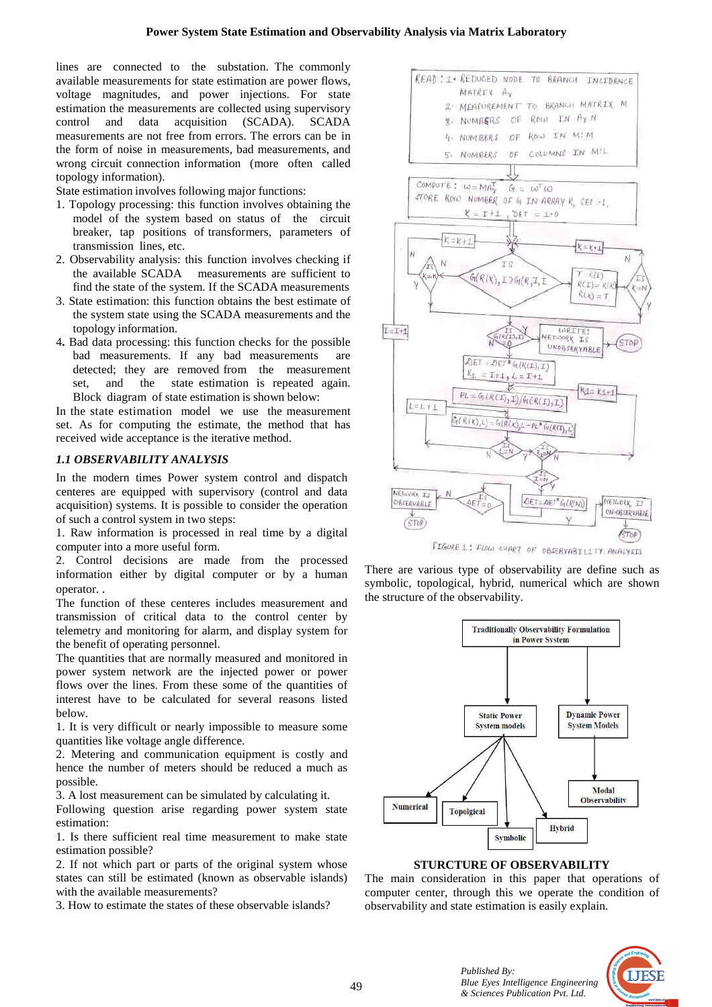lines are connected to the substation. The commonly available measurements for state estimation are power flows, voltage magnitudes, and power injections. For state estimation the measurements are collected using supervisory control and data acquisition (SC CADA). SCADA measurements are not free from errors. The errors can be in the form of noise in measurements, bad measurements, and wrong circuit connection information (more often called topology information).

State estimation involves following major functions:

- 1. Topology processing: this function involves obtaining the model of the system based on status of the circuit breaker, tap positions of transformers, parameters of transmission lines, etc.
- 2. Observability analysis: this function involves checking if the available SCADA measurements are sufficient to find the state of the system. If the SCADA measurements
- 3. State estimation: this function obtains the best estimate of the system state using the SCADA measurements and the topology information.
- 4. Bad data processing: this function checks for the possible bad measurements. If any bad m measurements are detected; they are removed from the measurement set, and the state estimation is repeated again. Block diagram of state estimation is s shown below:

In the state estimation model we use the measurement set. As for computing the estimate, the method that has received wide acceptance is the iterative method.

### *1.1 OBSERVABILITY ANALYSIS*

In the modern times Power system control and dispatch centeres are equipped with supervisory (control and data acquisition) systems. It is possible to consider the operation of such a control system in two steps:

1. Raw information is processed in real time by a digital computer into a more useful form.

2. Control decisions are made from the processed information either by digital computer or by a human operator. .

The function of these centeres includes measurement and transmission of critical data to the control center by telemetry and monitoring for alarm, and display system for the benefit of operating personnel.

The quantities that are normally measured and monitored in power system network are the injected power or power flows over the lines. From these some of the quantities of interest have to be calculated for several reasons listed below.

1. It is very difficult or nearly impossible to measure some quantities like voltage angle difference.

2. Metering and communication equipment is costly and hence the number of meters should be reduced a much as possible.

3. A lost measurement can be simulated by calculating it.

Following question arise regarding power system state estimation:

1. Is there sufficient real time measurement to make state estimation possible?

2. If not which part or parts of the original system whose states can still be estimated (known as observable islands) with the available measurements?

3. How to estimate the states of these observable islands?



symbolic, topological, hybrid, numerical which are shown the structure of the observability.



#### **STURCTURE OF OBSERVABILITY**

The main consideration in this paper that operations of computer center, through this we operate the condition of observability and state estimation is easily explain.

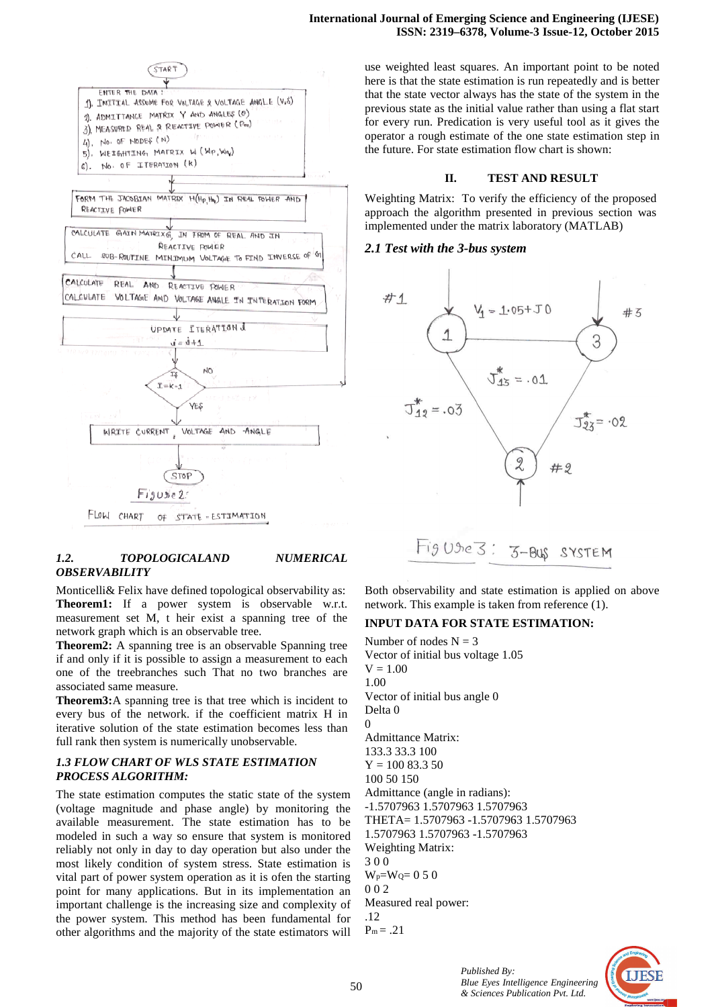

here is that the state estimation is run repeatedly and is better that the state vector always has the state of the system in the previous state as the initial value rather than using a flat start for every run. Predication is very useful tool as it gives the operator a rough estimate of the one state estimation step in the future. For state estimation flow chart is shown:

**ISSN: 2319–6378, Volume 6378, Volume-3 Issue-12, October 2015** 

**International Journal of Emerging Science and Engineering (IJESE)** 

## **II. TEST AND RESULT**

Weighting Matrix: To verify the efficiency of the proposed approach the algorithm presented in previous section was implemented under the matrix laboratory (MATLAB)

# *2.1 Test with the 3-bus system bus*



# *1.2. TOPOLOGICALAND NUMERICAL OBSERVABILITY*

Monticelli& Felix have defined topological observability as: **Theorem1:** If a power system is observable w.r.t. measurement set M, t heir exist a spanning tree of the network graph which is an observable tree.

**Theorem2:** A spanning tree is an observable Spanning tree if and only if it is possible to assign a measurement to each one of the treebranches such That no two branches are associated same measure.

**Theorem3:**A spanning tree is that tree which is incident to every bus of the network. if the coefficient matrix H in iterative solution of the state estimation becomes less than full rank then system is numerically unobservable.

# *1.3 FLOW CHART OF WLS STATE ESTIMATION PROCESS ALGORITHM:*

The state estimation computes the static state of the system (voltage magnitude and phase angle) by monitoring the available measurement. The state estimation has to be modeled in such a way so ensure that system is monitored reliably not only in day to day operation but also under the most likely condition of system stress. State estimation is vital part of power system operation as it is ofen the starting point for many applications. But in its implementation an important challenge is the increasing size and complexity of the power system. This method has been fundamental for other algorithms and the majority of the state estimators will efined topological observability as:<br>
er system is observable w.r.t.<br>
heir exist a spanning tree of the<br>
n observable tree.<br>
tree is an observable Spanning tree<br>
le to assign a measurement to each<br>
such That no two branche

Both observability and state estimation is applied on above network. This example is taken from reference (1).

# **INPUT DATA FOR STATE ESTIMATION:**

Number of nodes  $N = 3$ Vector of initial bus voltage 1.05  $V = 1.00$ 1.00 Vector of initial bus angle 0 Delta 0  $\Omega$ Admittance Matrix: 133.3 33.3 100  $Y = 100 83.3 50$ 100 50 150 Admittance (angle in radians): -1.5707963 1.5707963 1.5707963 THETA= 1.5707963 -1.5707963 1.5707963 1.5707963 1.5707963 -1.5707963 Weighting Matrix: 3 0 0  $W_p = W_0 = 0.5$  0 0 0 2 Measured real power: .12  $P_m = .21$ 1.5707963 1.5707963 1.5707963<br>FHETA= 1.5707963 -1.5707963<br>..5707963 1.5707963 -1.5707963

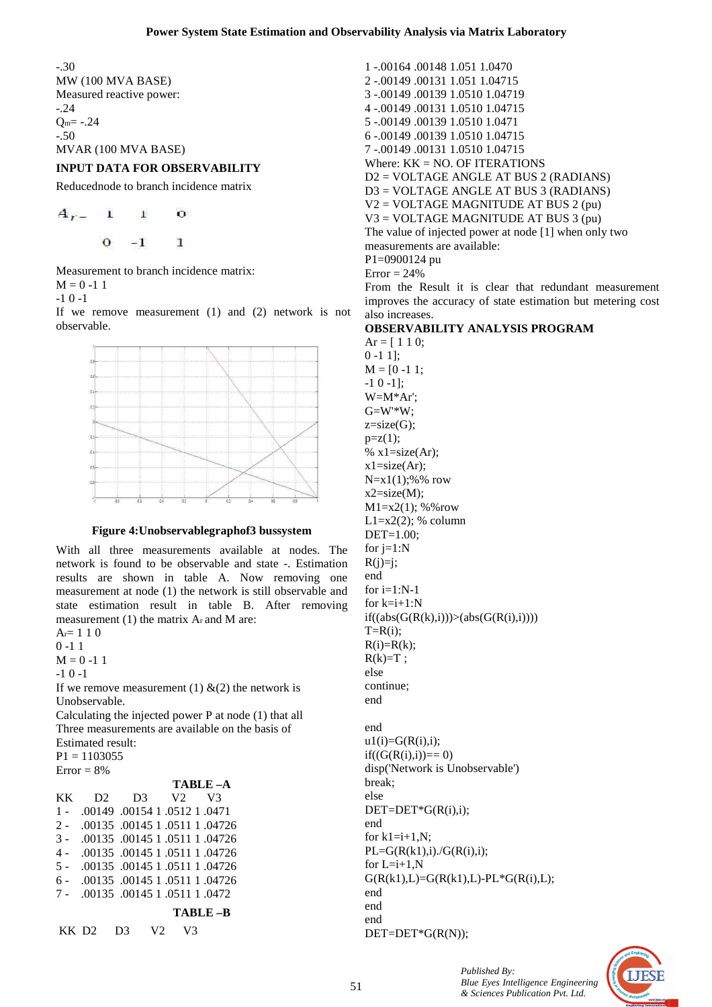0 -1 1];

-.30 MW (100 MVA BASE) Measured reactive power: -.24  $Q_m = -.24$ -.50 MVAR (100 MVA BASE)

# **INPUT DATA FOR OBSERVABILITY**

Reducednode to branch incidence matrix

$$
A_{r-1} = 1 - 0
$$
  
0 -1 1

Measurement to branch incidence matrix:  $M = 0 -11$ 

-1 0 -1

If we remove measurement (1) and (2) network is not observable.



#### **Figure 4:Unobservablegraphof3 bussystem**

With all three measurements available at nodes. The network is found to be observable and state -. Estimation results are shown in table A. Now removing one measurement at node (1) the network is still observable and state estimation result in table B. After removing measurement (1) the matrix Ar and M are:

 $A = 1 1 0$ 0 -1 1

 $M = 0 - 1$  1

 $-1$  0  $-1$ 

If we remove measurement (1)  $\&(2)$  the network is Unobservable.

Calculating the injected power P at node (1) that all Three measurements are available on the basis of Estimated result:

 $P1 = 1103055$ 

| $Error = 8%$ |          |                                   |    |  |                |
|--------------|----------|-----------------------------------|----|--|----------------|
|              |          |                                   |    |  | TABLE-A        |
| <b>KK</b>    |          | $D2 \quad D3 \quad V2$            |    |  | V <sup>3</sup> |
| $1 -$        |          | .0471 0.0149 0.0154 1.0512 1.0471 |    |  |                |
| $2 -$        |          | .00135.00145.1.0511.04726         |    |  |                |
| $3 -$        |          | .00135.00145.1.0511.04726         |    |  |                |
| 4 -          |          | .00135.00145.1.0511.04726         |    |  |                |
| $5 -$        |          | .00135.00145.1.0511.04726         |    |  |                |
| $6 -$        |          | .00135.00145 1.0511 1.04726       |    |  |                |
| $7 -$        |          | .00135.00145.1.0511.1.0472        |    |  |                |
|              |          |                                   |    |  | TABLE-B        |
|              | KK D2 D3 |                                   | V2 |  |                |

1 -.00164 .00148 1.051 1.0470 2 -.00149 .00131 1.051 1.04715 3 -.00149 .00139 1.0510 1.04719 4 -.00149 .00131 1.0510 1.04715 5 -.00149 .00139 1.0510 1.0471 6 -.00149 .00139 1.0510 1.04715 7 -.00149 .00131 1.0510 1.04715 Where: KK = NO. OF ITERATIONS D2 = VOLTAGE ANGLE AT BUS 2 (RADIANS) D3 = VOLTAGE ANGLE AT BUS 3 (RADIANS) V2 = VOLTAGE MAGNITUDE AT BUS 2 (pu) V3 = VOLTAGE MAGNITUDE AT BUS 3 (pu) The value of injected power at node [1] when only two measurements are available: P1=0900124 pu  $Error = 24%$ From the Result it is clear that redundant measurement

improves the accuracy of state estimation but metering cost also increases.

#### **OBSERVABILITY ANALYSIS PROGRAM**   $Ar = [ 1 1 0;$

 $M = [0 -1 1;$ -1 0 -1]; W=M\*Ar'; G=W'\*W;  $z=size(G);$  $p=z(1);$ %  $x1 = size(Ar)$ ;  $x1 = size(Ar)$ ;  $N=x1(1);$ %% row  $x2 = size(M);$  $M1 = x2(1)$ ; %%row  $L1=x2(2)$ ; % column DET=1.00; for  $j=1:N$  $R(i)=i$ ; end for  $i=1:N-1$ for  $k=i+1:N$  $if((abs(G(R(k),i)))>(abs(G(R(i),i))))$  $T=R(i);$  $R(i)=R(k);$  $R(k)=T$ ; else continue; end end  $u1(i)=G(R(i),i);$  $if((G(R(i),i)) == 0)$ disp('Network is Unobservable') break; else  $DEF = DET*G(R(i), i);$ end for  $k1=i+1, N;$  $PL=G(R(k1),i)/G(R(i),i);$ for  $L=i+1$ , N  $G(R(k1),L)=G(R(k1),L)-PL*G(R(i),L);$ end end end DET=DET\*G(R(N));

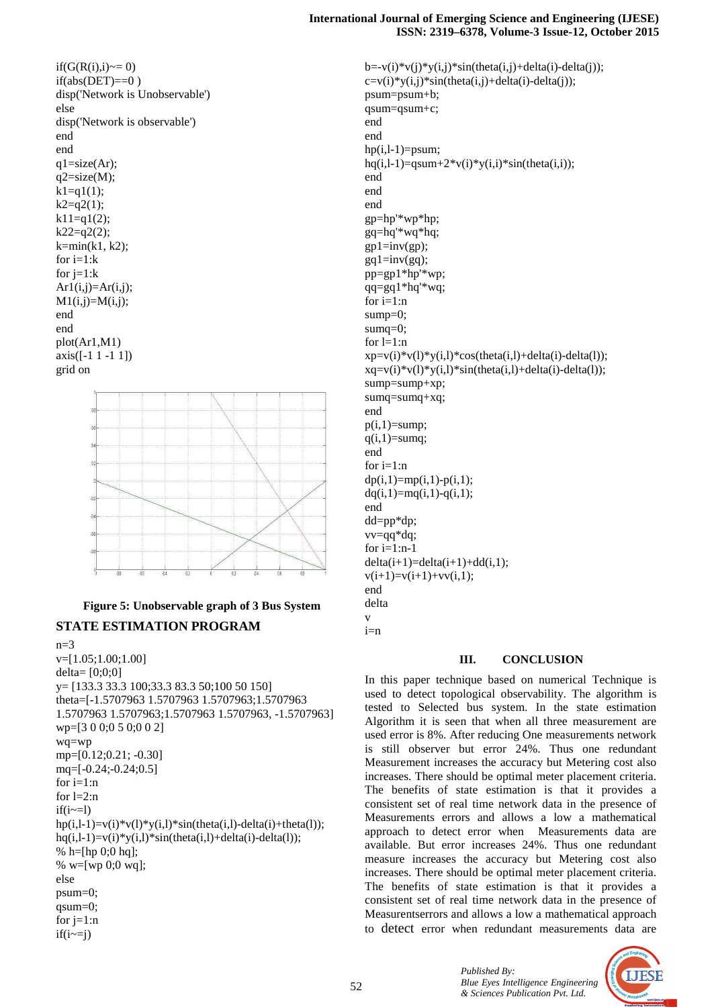$if(G(R(i), i) \sim = 0)$  $if(abs(DET)=0)$ disp('Network is Unobservable') else disp('Network is observable') end end  $q1=size(Ar);$  $q2=size(M);$  $k1=q1(1);$  $k2 = q2(1);$  $k11=q1(2)$ ;  $k22=q2(2);$  $k=min(k1, k2);$ for  $i=1:k$ for  $j=1:k$  $Ar1(i,j)=Ar(i,j);$  $M1(i,j)=M(i,j);$ end end plot(Ar1,M1)  $axis([-1 1 -1 1])$ grid on



# **Figure 5: Unobservable graph of 3 Bus System STATE ESTIMATION PROGRAM**

 $n=3$ v=[1.05;1.00;1.00] delta= [0;0;0] y= [133.3 33.3 100;33.3 83.3 50;100 50 150] theta=[-1.5707963 1.5707963 1.5707963;1.5707963 1.5707963 1.5707963;1.5707963 1.5707963, -1.5707963] wp=[3 0 0;0 5 0;0 0 2] wq=wp mp=[0.12;0.21; -0.30] mq=[-0.24;-0.24;0.5] for  $i=1:n$ for  $l=2:n$  $if(i \sim=1)$  $hp(i,l-1)=v(i)*v(l)*y(i,l)*sin(theta(i,l)-delta(i)+theta(a(l));$  $hq(i,l-1)=v(i)*y(i,l)*sin(theta(i,l)+delta(i)-delta(i));$ % h=[hp  $0;0$  hq]; % w=[wp 0;0 wq]; else psum=0; qsum=0; for  $j=1:n$  $if(i \sim = j)$ 

 $b=-v(i)*v(i)*y(i,j)*sin(theta(i,j)+delta(i)-delta(i));$  $c=v(i)*y(i,j)*sin(theta(i,j)+delta(i)-delta(i));$ psum=psum+b; qsum=qsum+c; end end  $hp(i,l-1)=psum;$ hq(i,l-1)=qsum+2\*v(i)\*y(i,i)\*sin(theta(i,i)); end end end gp=hp'\*wp\*hp; gq=hq'\*wq\*hq;  $gp1=inv(gp);$  $gq1=inv(gq);$ pp=gp1\*hp'\*wp; qq=gq1\*hq'\*wq; for  $i=1:n$ sump=0; sumq=0; for  $l=1:n$  $xp=v(i)*v(1)*y(i,l)*cos(theta(i,l)+delta(i)-delta(i))$ ;  $xq=v(i)*v(1)*y(i,l)*sin(theta(i,l)+delta(i)-delta(i))$ ; sump=sump+xp; sumq=sumq+xq; end  $p(i,1)=sump;$  $q(i,1)=sumq$ ; end for  $i=1:n$  $dp(i,1)=mp(i,1)-p(i,1);$  $dq(i,1)=mq(i,1)-q(i,1);$ end dd=pp\*dp; vv=qq\*dq; for  $i=1:n-1$  $delta(i+1)=delta(i+1)+dd(i,1);$  $v(i+1)=v(i+1)+vv(i,1);$ end delta v  $i=n$ 

**III. CONCLUSION**

In this paper technique based on numerical Technique is used to detect topological observability. The algorithm is tested to Selected bus system. In the state estimation Algorithm it is seen that when all three measurement are used error is 8%. After reducing One measurements network is still observer but error 24%. Thus one redundant Measurement increases the accuracy but Metering cost also increases. There should be optimal meter placement criteria. The benefits of state estimation is that it provides a consistent set of real time network data in the presence of Measurements errors and allows a low a mathematical approach to detect error when Measurements data are available. But error increases 24%. Thus one redundant measure increases the accuracy but Metering cost also increases. There should be optimal meter placement criteria. The benefits of state estimation is that it provides a consistent set of real time network data in the presence of Measurentserrors and allows a low a mathematical approach to detect error when redundant measurements data are